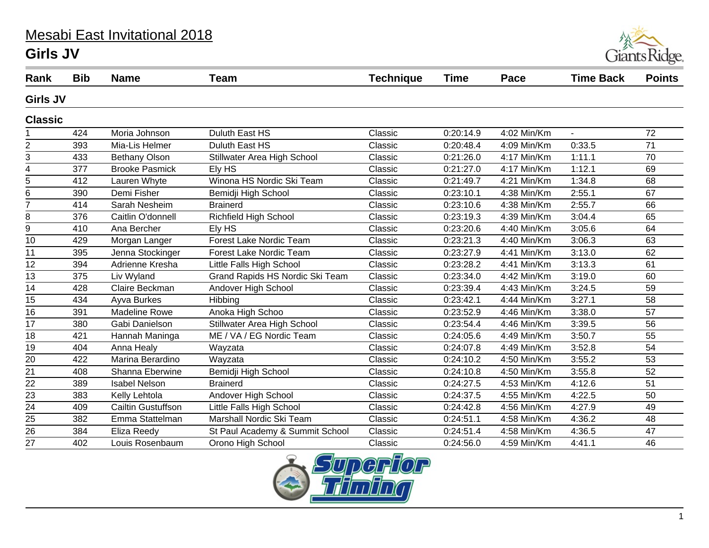## Mesabi East Invitational 2018 **Girls JV**



| Rank            | <b>Bib</b> | <b>Name</b>           | Team                            | <b>Technique</b> | <b>Time</b> | Pace          | <b>Time Back</b> | <b>Points</b>   |
|-----------------|------------|-----------------------|---------------------------------|------------------|-------------|---------------|------------------|-----------------|
| <b>Girls JV</b> |            |                       |                                 |                  |             |               |                  |                 |
| <b>Classic</b>  |            |                       |                                 |                  |             |               |                  |                 |
|                 | 424        | Moria Johnson         | Duluth East HS                  | Classic          | 0:20:14.9   | 4:02 Min/Km   | $\sim$           | 72              |
| $\overline{2}$  | 393        | Mia-Lis Helmer        | Duluth East HS                  | Classic          | 0:20:48.4   | 4:09 Min/Km   | 0:33.5           | $\overline{71}$ |
| 3               | 433        | <b>Bethany Olson</b>  | Stillwater Area High School     | Classic          | 0:21:26.0   | 4:17 Min/Km   | 1:11.1           | 70              |
| 4               | 377        | <b>Brooke Pasmick</b> | Ely HS                          | Classic          | 0:21:27.0   | 4:17 Min/Km   | 1:12.1           | 69              |
| 5               | 412        | Lauren Whyte          | Winona HS Nordic Ski Team       | Classic          | 0:21:49.7   | 4:21 Min/Km   | 1:34.8           | 68              |
| 6               | 390        | Demi Fisher           | Bemidji High School             | Classic          | 0:23:10.1   | 4:38 Min/Km   | 2:55.1           | 67              |
| $\overline{7}$  | 414        | Sarah Nesheim         | <b>Brainerd</b>                 | Classic          | 0:23:10.6   | 4:38 Min/Km   | 2:55.7           | 66              |
| 8               | 376        | Caitlin O'donnell     | Richfield High School           | Classic          | 0:23:19.3   | 4:39 Min/Km   | 3:04.4           | 65              |
| 9               | 410        | Ana Bercher           | Ely HS                          | Classic          | 0:23:20.6   | 4:40 Min/Km   | 3:05.6           | 64              |
| 10              | 429        | Morgan Langer         | <b>Forest Lake Nordic Team</b>  | Classic          | 0:23:21.3   | 4:40 Min/Km   | 3:06.3           | 63              |
| 11              | 395        | Jenna Stockinger      | <b>Forest Lake Nordic Team</b>  | Classic          | 0:23:27.9   | 4:41 Min/Km   | 3:13.0           | 62              |
| $\overline{12}$ | 394        | Adrienne Kresha       | Little Falls High School        | Classic          | 0:23:28.2   | $4:41$ Min/Km | 3:13.3           | 61              |
| 13              | 375        | Liv Wyland            | Grand Rapids HS Nordic Ski Team | Classic          | 0:23:34.0   | 4:42 Min/Km   | 3:19.0           | 60              |
| 14              | 428        | Claire Beckman        | Andover High School             | Classic          | 0:23:39.4   | 4:43 Min/Km   | 3:24.5           | 59              |
| 15              | 434        | Ayva Burkes           | Hibbing                         | Classic          | 0:23:42.1   | 4:44 Min/Km   | 3:27.1           | 58              |
| 16              | 391        | <b>Madeline Rowe</b>  | Anoka High Schoo                | Classic          | 0:23:52.9   | 4:46 Min/Km   | 3:38.0           | 57              |
| 17              | 380        | Gabi Danielson        | Stillwater Area High School     | Classic          | 0:23:54.4   | 4:46 Min/Km   | 3:39.5           | 56              |
| 18              | 421        | Hannah Maninga        | ME / VA / EG Nordic Team        | Classic          | 0:24:05.6   | 4:49 Min/Km   | 3:50.7           | 55              |
| 19              | 404        | Anna Healy            | Wayzata                         | Classic          | 0:24:07.8   | 4:49 Min/Km   | 3:52.8           | 54              |
| 20              | 422        | Marina Berardino      | Wayzata                         | Classic          | 0:24:10.2   | 4:50 Min/Km   | 3:55.2           | 53              |
| 21              | 408        | Shanna Eberwine       | Bemidji High School             | Classic          | 0:24:10.8   | 4:50 Min/Km   | 3:55.8           | 52              |
| 22              | 389        | <b>Isabel Nelson</b>  | <b>Brainerd</b>                 | Classic          | 0:24:27.5   | 4:53 Min/Km   | 4:12.6           | 51              |
| $\overline{23}$ | 383        | Kelly Lehtola         | Andover High School             | Classic          | 0:24:37.5   | 4:55 Min/Km   | 4:22.5           | 50              |
| $\overline{24}$ | 409        | Cailtin Gustuffson    | Little Falls High School        | Classic          | 0:24:42.8   | 4:56 Min/Km   | 4:27.9           | 49              |
| 25              | 382        | Emma Stattelman       | Marshall Nordic Ski Team        | Classic          | 0:24:51.1   | 4:58 Min/Km   | 4:36.2           | 48              |
| $\overline{26}$ | 384        | Eliza Reedy           | St Paul Academy & Summit School | Classic          | 0:24:51.4   | 4:58 Min/Km   | 4:36.5           | $\overline{47}$ |
| 27              | 402        | Louis Rosenbaum       | Orono High School               | Classic          | 0:24:56.0   | 4:59 Min/Km   | 4:41.1           | 46              |

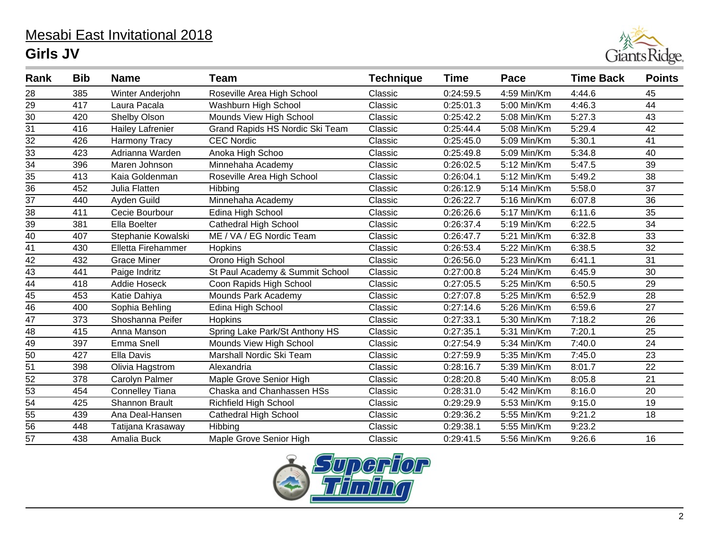## Mesabi East Invitational 2018 **Girls JV**



| Rank            | <b>Bib</b> | <b>Name</b>             | <b>Team</b>                     | <b>Technique</b> | <b>Time</b> | Pace          | <b>Time Back</b> | <b>Points</b>   |
|-----------------|------------|-------------------------|---------------------------------|------------------|-------------|---------------|------------------|-----------------|
| 28              | 385        | Winter Anderjohn        | Roseville Area High School      | Classic          | 0:24:59.5   | 4:59 Min/Km   | 4:44.6           | 45              |
|                 | 417        | Laura Pacala            | Washburn High School            | Classic          | 0:25:01.3   | 5:00 Min/Km   | 4:46.3           | 44              |
| $\frac{29}{30}$ | 420        | Shelby Olson            | Mounds View High School         | Classic          | 0:25:42.2   | 5:08 Min/Km   | 5:27.3           | 43              |
| 31              | 416        | <b>Hailey Lafrenier</b> | Grand Rapids HS Nordic Ski Team | Classic          | 0:25:44.4   | 5:08 Min/Km   | 5:29.4           | 42              |
| $\overline{32}$ | 426        | Harmony Tracy           | <b>CEC Nordic</b>               | Classic          | 0:25:45.0   | 5:09 Min/Km   | 5:30.1           | $\overline{41}$ |
| 33              | 423        | Adrianna Warden         | Anoka High Schoo                | Classic          | 0:25:49.8   | 5:09 Min/Km   | 5:34.8           | 40              |
| $\overline{34}$ | 396        | Maren Johnson           | Minnehaha Academy               | Classic          | 0:26:02.5   | 5:12 Min/Km   | 5:47.5           | $\overline{39}$ |
| 35              | 413        | Kaia Goldenman          | Roseville Area High School      | Classic          | 0:26:04.1   | 5:12 Min/Km   | 5:49.2           | 38              |
| $\overline{36}$ | 452        | Julia Flatten           | Hibbing                         | Classic          | 0:26:12.9   | 5:14 Min/Km   | 5:58.0           | $\overline{37}$ |
| 37              | 440        | Ayden Guild             | Minnehaha Academy               | Classic          | 0:26:22.7   | 5:16 Min/Km   | 6:07.8           | 36              |
| $\overline{38}$ | 411        | Cecie Bourbour          | Edina High School               | Classic          | 0:26:26.6   | 5:17 Min/Km   | 6:11.6           | 35              |
| 39              | 381        | Ella Boelter            | <b>Cathedral High School</b>    | Classic          | 0:26:37.4   | 5:19 Min/Km   | 6:22.5           | 34              |
| $\overline{40}$ | 407        | Stephanie Kowalski      | ME / VA / EG Nordic Team        | Classic          | 0:26:47.7   | 5:21 Min/Km   | 6:32.8           | $\overline{33}$ |
| 41              | 430        | Elletta Firehammer      | Hopkins                         | Classic          | 0:26:53.4   | 5:22 Min/Km   | 6:38.5           | 32              |
| $\overline{42}$ | 432        | <b>Grace Miner</b>      | Orono High School               | Classic          | 0:26:56.0   | 5:23 Min/Km   | 6:41.1           | 31              |
| 43              | 441        | Paige Indritz           | St Paul Academy & Summit School | Classic          | 0:27:00.8   | 5:24 Min/Km   | 6:45.9           | 30              |
| $\overline{44}$ | 418        | Addie Hoseck            | Coon Rapids High School         | Classic          | 0:27:05.5   | 5:25 Min/Km   | 6:50.5           | $\overline{29}$ |
| 45              | 453        | Katie Dahiya            | <b>Mounds Park Academy</b>      | Classic          | 0:27:07.8   | 5:25 Min/Km   | 6:52.9           | 28              |
| $\overline{46}$ | 400        | Sophia Behling          | Edina High School               | Classic          | 0:27:14.6   | 5:26 Min/Km   | 6:59.6           | 27              |
| 47              | 373        | Shoshanna Peifer        | Hopkins                         | Classic          | 0:27:33.1   | 5:30 Min/Km   | 7:18.2           | 26              |
| $\overline{48}$ | 415        | Anna Manson             | Spring Lake Park/St Anthony HS  | Classic          | 0:27:35.1   | 5:31 Min/Km   | 7:20.1           | $\overline{25}$ |
| 49              | 397        | Emma Snell              | Mounds View High School         | Classic          | 0:27:54.9   | 5:34 Min/Km   | 7:40.0           | 24              |
| $\overline{50}$ | 427        | Ella Davis              | Marshall Nordic Ski Team        | Classic          | 0:27:59.9   | 5:35 Min/Km   | 7:45.0           | $\overline{23}$ |
| 51              | 398        | Olivia Hagstrom         | Alexandria                      | Classic          | 0:28:16.7   | 5:39 Min/Km   | 8:01.7           | 22              |
| $\overline{52}$ | 378        | Carolyn Palmer          | Maple Grove Senior High         | Classic          | 0:28:20.8   | $5:40$ Min/Km | 8:05.8           | 21              |
| $\frac{53}{54}$ | 454        | <b>Connelley Tiana</b>  | Chaska and Chanhassen HSs       | Classic          | 0:28:31.0   | 5:42 Min/Km   | 8:16.0           | 20              |
|                 | 425        | <b>Shannon Brault</b>   | <b>Richfield High School</b>    | Classic          | 0:29:29.9   | 5:53 Min/Km   | 9:15.0           | 19              |
| 55              | 439        | Ana Deal-Hansen         | <b>Cathedral High School</b>    | Classic          | 0:29:36.2   | 5:55 Min/Km   | 9:21.2           | 18              |
| $\overline{56}$ | 448        | Tatijana Krasaway       | Hibbing                         | Classic          | 0:29:38.1   | 5:55 Min/Km   | 9:23.2           |                 |
| 57              | 438        | Amalia Buck             | Maple Grove Senior High         | Classic          | 0:29:41.5   | 5:56 Min/Km   | 9:26.6           | 16              |